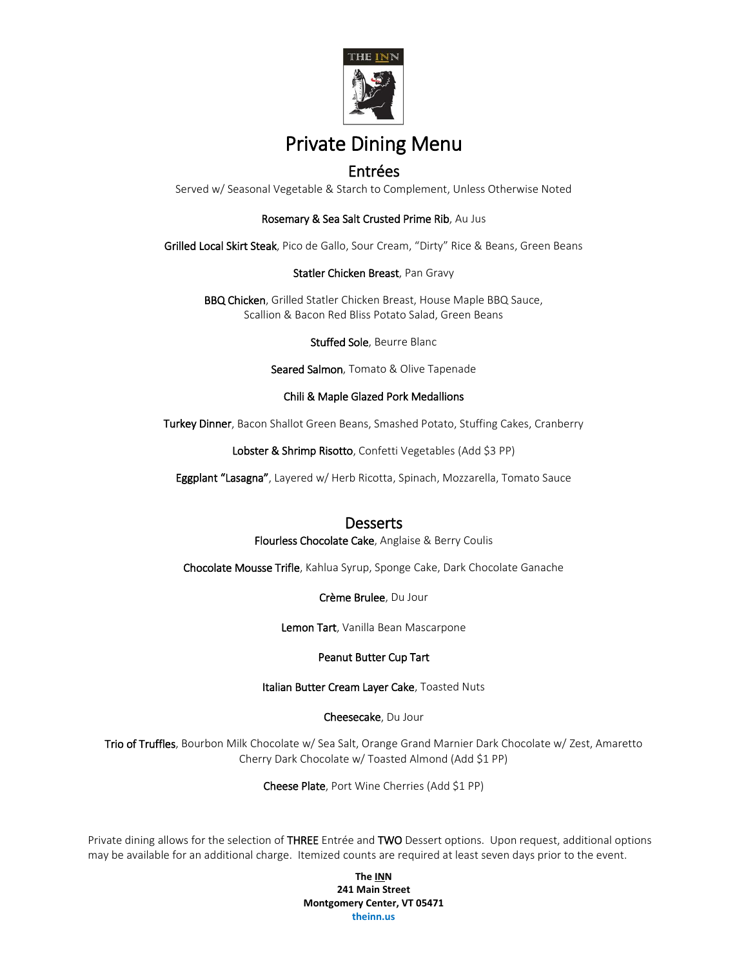

# Private Dining Menu

## Entrées

Served w/ Seasonal Vegetable & Starch to Complement, Unless Otherwise Noted

#### Rosemary & Sea Salt Crusted Prime Rib, Au Jus

Grilled Local Skirt Steak, Pico de Gallo, Sour Cream, "Dirty" Rice & Beans, Green Beans

#### Statler Chicken Breast, Pan Gravy

BBQ Chicken, Grilled Statler Chicken Breast, House Maple BBQ Sauce, Scallion & Bacon Red Bliss Potato Salad, Green Beans

Stuffed Sole, Beurre Blanc

Seared Salmon, Tomato & Olive Tapenade

#### Chili & Maple Glazed Pork Medallions

Turkey Dinner, Bacon Shallot Green Beans, Smashed Potato, Stuffing Cakes, Cranberry

Lobster & Shrimp Risotto, Confetti Vegetables (Add \$3 PP)

Eggplant "Lasagna", Layered w/ Herb Ricotta, Spinach, Mozzarella, Tomato Sauce

### **Desserts**

Flourless Chocolate Cake, Anglaise & Berry Coulis

Chocolate Mousse Trifle, Kahlua Syrup, Sponge Cake, Dark Chocolate Ganache

Crème Brulee, Du Jour

Lemon Tart, Vanilla Bean Mascarpone

#### Peanut Butter Cup Tart

Italian Butter Cream Layer Cake, Toasted Nuts

Cheesecake, Du Jour

Trio of Truffles, Bourbon Milk Chocolate w/ Sea Salt, Orange Grand Marnier Dark Chocolate w/ Zest, Amaretto Cherry Dark Chocolate w/ Toasted Almond (Add \$1 PP)

Cheese Plate, Port Wine Cherries (Add \$1 PP)

Private dining allows for the selection of THREE Entrée and TWO Dessert options. Upon request, additional options may be available for an additional charge. Itemized counts are required at least seven days prior to the event.

> **The INN 241 Main Street Montgomery Center, VT 05471 theinn.us**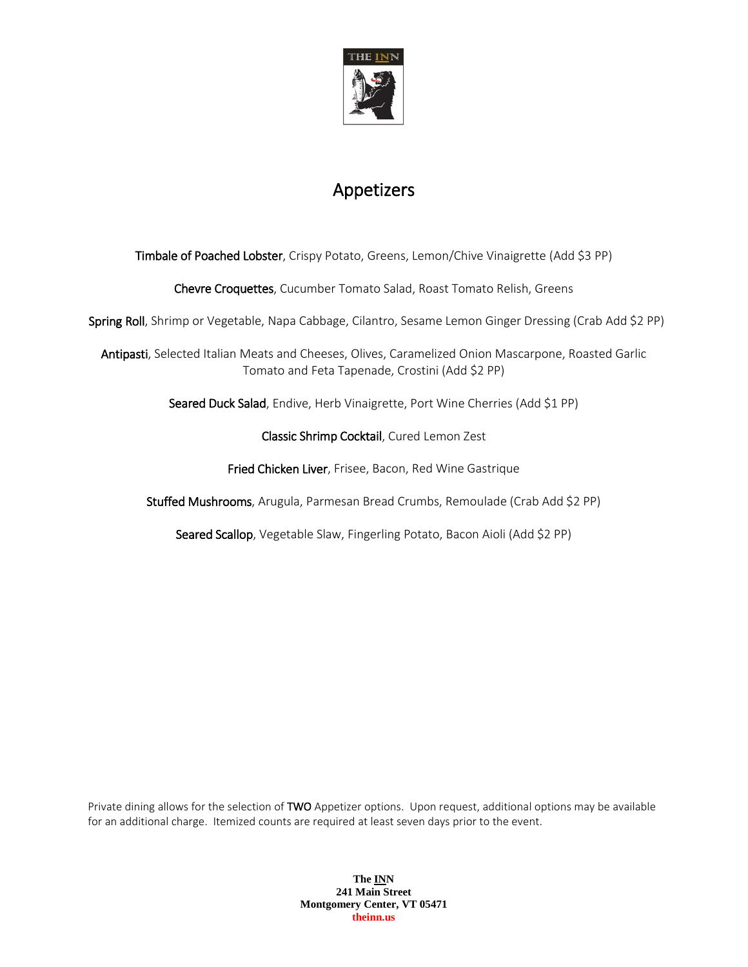

# Appetizers

Timbale of Poached Lobster, Crispy Potato, Greens, Lemon/Chive Vinaigrette (Add \$3 PP)

Chevre Croquettes, Cucumber Tomato Salad, Roast Tomato Relish, Greens

Spring Roll, Shrimp or Vegetable, Napa Cabbage, Cilantro, Sesame Lemon Ginger Dressing (Crab Add \$2 PP)

Antipasti, Selected Italian Meats and Cheeses, Olives, Caramelized Onion Mascarpone, Roasted Garlic Tomato and Feta Tapenade, Crostini (Add \$2 PP)

Seared Duck Salad, Endive, Herb Vinaigrette, Port Wine Cherries (Add \$1 PP)

Classic Shrimp Cocktail, Cured Lemon Zest

Fried Chicken Liver, Frisee, Bacon, Red Wine Gastrique

Stuffed Mushrooms, Arugula, Parmesan Bread Crumbs, Remoulade (Crab Add \$2 PP)

Seared Scallop, Vegetable Slaw, Fingerling Potato, Bacon Aioli (Add \$2 PP)

Private dining allows for the selection of TWO Appetizer options. Upon request, additional options may be available for an additional charge. Itemized counts are required at least seven days prior to the event.

> **The INN 241 Main Street Montgomery Center, VT 05471 theinn.us**